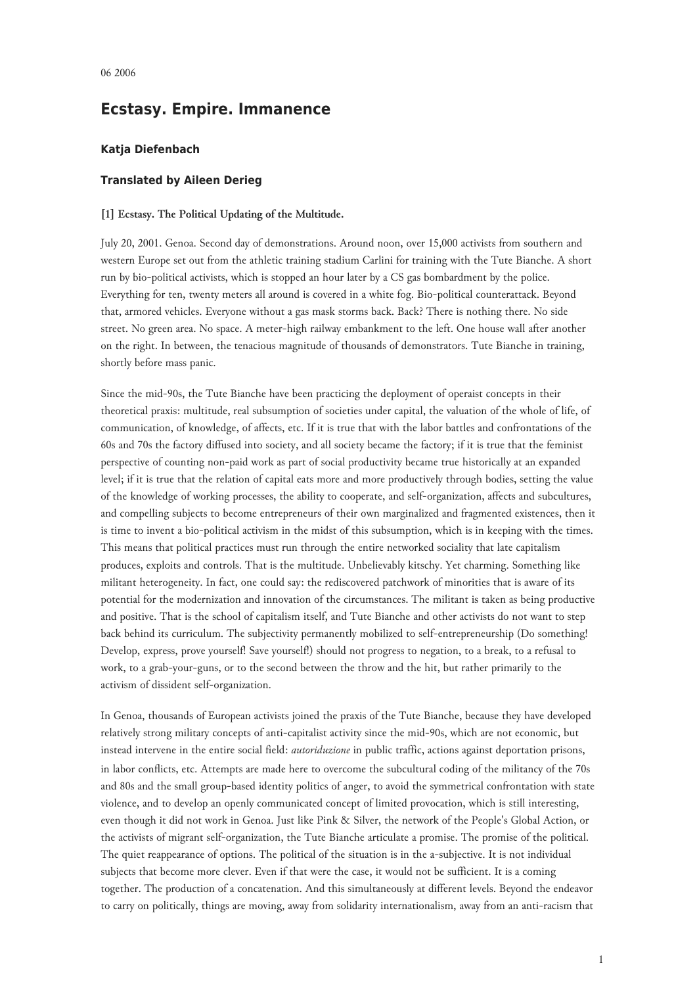# **Ecstasy. Empire. Immanence**

# **Katja Diefenbach**

## **Translated by Aileen Derieg**

## **[1] Ecstasy. The Political Updating of the Multitude.**

July 20, 2001. Genoa. Second day of demonstrations. Around noon, over 15,000 activists from southern and western Europe set out from the athletic training stadium Carlini for training with the Tute Bianche. A short run by bio-political activists, which is stopped an hour later by a CS gas bombardment by the police. Everything for ten, twenty meters all around is covered in a white fog. Bio-political counterattack. Beyond that, armored vehicles. Everyone without a gas mask storms back. Back? There is nothing there. No side street. No green area. No space. A meter-high railway embankment to the left. One house wall after another on the right. In between, the tenacious magnitude of thousands of demonstrators. Tute Bianche in training, shortly before mass panic.

Since the mid-90s, the Tute Bianche have been practicing the deployment of operaist concepts in their theoretical praxis: multitude, real subsumption of societies under capital, the valuation of the whole of life, of communication, of knowledge, of affects, etc. If it is true that with the labor battles and confrontations of the 60s and 70s the factory diffused into society, and all society became the factory; if it is true that the feminist perspective of counting non-paid work as part of social productivity became true historically at an expanded level; if it is true that the relation of capital eats more and more productively through bodies, setting the value of the knowledge of working processes, the ability to cooperate, and self-organization, affects and subcultures, and compelling subjects to become entrepreneurs of their own marginalized and fragmented existences, then it is time to invent a bio-political activism in the midst of this subsumption, which is in keeping with the times. This means that political practices must run through the entire networked sociality that late capitalism produces, exploits and controls. That is the multitude. Unbelievably kitschy. Yet charming. Something like militant heterogeneity. In fact, one could say: the rediscovered patchwork of minorities that is aware of its potential for the modernization and innovation of the circumstances. The militant is taken as being productive and positive. That is the school of capitalism itself, and Tute Bianche and other activists do not want to step back behind its curriculum. The subjectivity permanently mobilized to self-entrepreneurship (Do something! Develop, express, prove yourself! Save yourself!) should not progress to negation, to a break, to a refusal to work, to a grab-your-guns, or to the second between the throw and the hit, but rather primarily to the activism of dissident self-organization.

In Genoa, thousands of European activists joined the praxis of the Tute Bianche, because they have developed relatively strong military concepts of anti-capitalist activity since the mid-90s, which are not economic, but instead intervene in the entire social field: *autoriduzione* in public traffic, actions against deportation prisons, in labor conflicts, etc. Attempts are made here to overcome the subcultural coding of the militancy of the 70s and 80s and the small group-based identity politics of anger, to avoid the symmetrical confrontation with state violence, and to develop an openly communicated concept of limited provocation, which is still interesting, even though it did not work in Genoa. Just like Pink & Silver, the network of the People's Global Action, or the activists of migrant self-organization, the Tute Bianche articulate a promise. The promise of the political. The quiet reappearance of options. The political of the situation is in the a-subjective. It is not individual subjects that become more clever. Even if that were the case, it would not be sufficient. It is a coming together. The production of a concatenation. And this simultaneously at different levels. Beyond the endeavor to carry on politically, things are moving, away from solidarity internationalism, away from an anti-racism that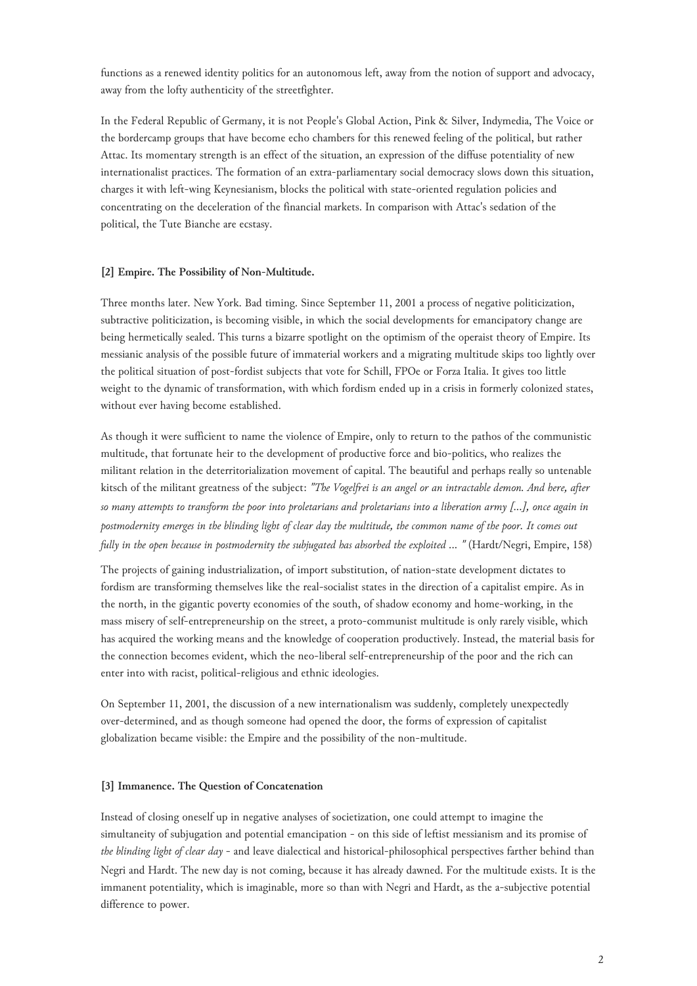functions as a renewed identity politics for an autonomous left, away from the notion of support and advocacy, away from the lofty authenticity of the streetfighter.

In the Federal Republic of Germany, it is not People's Global Action, Pink & Silver, Indymedia, The Voice or the bordercamp groups that have become echo chambers for this renewed feeling of the political, but rather Attac. Its momentary strength is an effect of the situation, an expression of the diffuse potentiality of new internationalist practices. The formation of an extra-parliamentary social democracy slows down this situation, charges it with left-wing Keynesianism, blocks the political with state-oriented regulation policies and concentrating on the deceleration of the financial markets. In comparison with Attac's sedation of the political, the Tute Bianche are ecstasy.

#### **[2] Empire. The Possibility of Non-Multitude.**

Three months later. New York. Bad timing. Since September 11, 2001 a process of negative politicization, subtractive politicization, is becoming visible, in which the social developments for emancipatory change are being hermetically sealed. This turns a bizarre spotlight on the optimism of the operaist theory of Empire. Its messianic analysis of the possible future of immaterial workers and a migrating multitude skips too lightly over the political situation of post-fordist subjects that vote for Schill, FPOe or Forza Italia. It gives too little weight to the dynamic of transformation, with which fordism ended up in a crisis in formerly colonized states, without ever having become established.

As though it were sufficient to name the violence of Empire, only to return to the pathos of the communistic multitude, that fortunate heir to the development of productive force and bio-politics, who realizes the militant relation in the deterritorialization movement of capital. The beautiful and perhaps really so untenable kitsch of the militant greatness of the subject: *"The Vogelfrei is an angel or an intractable demon. And here, after so many attempts to transform the poor into proletarians and proletarians into a liberation army [...], once again in postmodernity emerges in the blinding light of clear day the multitude, the common name of the poor. It comes out fully in the open because in postmodernity the subjugated has absorbed the exploited ... "* (Hardt/Negri, Empire, 158)

The projects of gaining industrialization, of import substitution, of nation-state development dictates to fordism are transforming themselves like the real-socialist states in the direction of a capitalist empire. As in the north, in the gigantic poverty economies of the south, of shadow economy and home-working, in the mass misery of self-entrepreneurship on the street, a proto-communist multitude is only rarely visible, which has acquired the working means and the knowledge of cooperation productively. Instead, the material basis for the connection becomes evident, which the neo-liberal self-entrepreneurship of the poor and the rich can enter into with racist, political-religious and ethnic ideologies.

On September 11, 2001, the discussion of a new internationalism was suddenly, completely unexpectedly over-determined, and as though someone had opened the door, the forms of expression of capitalist globalization became visible: the Empire and the possibility of the non-multitude.

### **[3] Immanence. The Question of Concatenation**

Instead of closing oneself up in negative analyses of societization, one could attempt to imagine the simultaneity of subjugation and potential emancipation - on this side of leftist messianism and its promise of *the blinding light of clear day* - and leave dialectical and historical-philosophical perspectives farther behind than Negri and Hardt. The new day is not coming, because it has already dawned. For the multitude exists. It is the immanent potentiality, which is imaginable, more so than with Negri and Hardt, as the a-subjective potential difference to power.